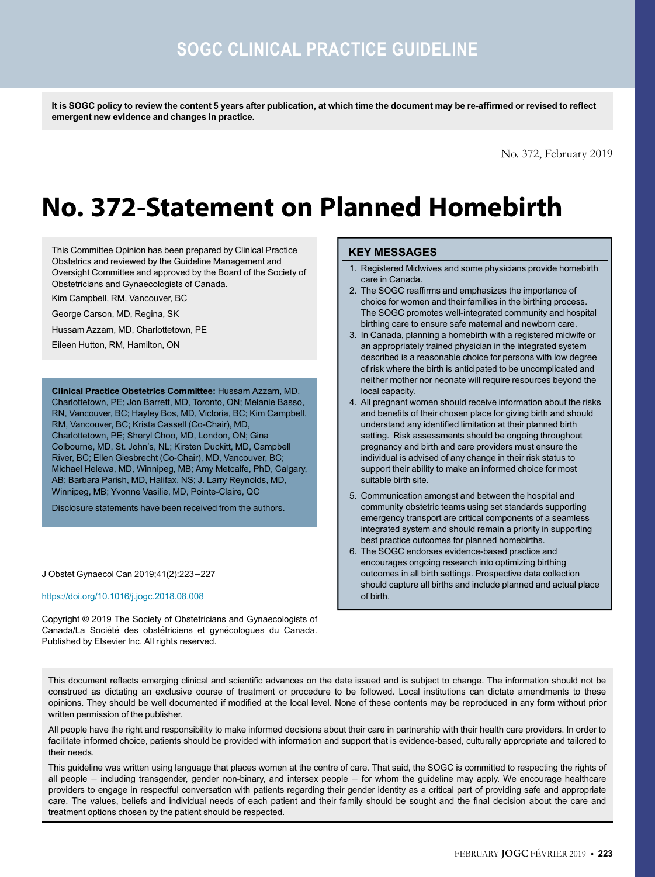It is SOGC policy to review the content 5 years after publication, at which time the document may be re-affirmed or revised to reflect emergent new evidence and changes in practice.

No. 372, February 2019

# No. 372-Statement on Planned Homebirth

This Committee Opinion has been prepared by Clinical Practice Obstetrics and reviewed by the Guideline Management and Oversight Committee and approved by the Board of the Society of Obstetricians and Gynaecologists of Canada.

Kim Campbell, RM, Vancouver, BC

George Carson, MD, Regina, SK

Hussam Azzam, MD, Charlottetown, PE

Eileen Hutton, RM, Hamilton, ON

Clinical Practice Obstetrics Committee: Hussam Azzam, MD, Charlottetown, PE; Jon Barrett, MD, Toronto, ON; Melanie Basso, RN, Vancouver, BC; Hayley Bos, MD, Victoria, BC; Kim Campbell, RM, Vancouver, BC; Krista Cassell (Co-Chair), MD, Charlottetown, PE; Sheryl Choo, MD, London, ON; Gina Colbourne, MD, St. John's, NL; Kirsten Duckitt, MD, Campbell River, BC; Ellen Giesbrecht (Co-Chair), MD, Vancouver, BC; Michael Helewa, MD, Winnipeg, MB; Amy Metcalfe, PhD, Calgary, AB; Barbara Parish, MD, Halifax, NS; J. Larry Reynolds, MD, Winnipeg, MB; Yvonne Vasilie, MD, Pointe-Claire, QC

Disclosure statements have been received from the authors.

J Obstet Gynaecol Can 2019;41(2):223−227

<https://doi.org/10.1016/j.jogc.2018.08.008>

Copyright © 2019 The Society of Obstetricians and Gynaecologists of Canada/La Société des obstétriciens et gynécologues du Canada. Published by Elsevier Inc. All rights reserved.

# KEY MESSAGES

- 1. Registered Midwives and some physicians provide homebirth care in Canada.
- 2. The SOGC reaffirms and emphasizes the importance of choice for women and their families in the birthing process. The SOGC promotes well-integrated community and hospital birthing care to ensure safe maternal and newborn care.
- 3. In Canada, planning a homebirth with a registered midwife or an appropriately trained physician in the integrated system described is a reasonable choice for persons with low degree of risk where the birth is anticipated to be uncomplicated and neither mother nor neonate will require resources beyond the local capacity.
- 4. All pregnant women should receive information about the risks and benefits of their chosen place for giving birth and should understand any identified limitation at their planned birth setting. Risk assessments should be ongoing throughout pregnancy and birth and care providers must ensure the individual is advised of any change in their risk status to support their ability to make an informed choice for most suitable birth site.
- 5. Communication amongst and between the hospital and community obstetric teams using set standards supporting emergency transport are critical components of a seamless integrated system and should remain a priority in supporting best practice outcomes for planned homebirths.
- 6. The SOGC endorses evidence-based practice and encourages ongoing research into optimizing birthing outcomes in all birth settings. Prospective data collection should capture all births and include planned and actual place of birth.

This document reflects emerging clinical and scientific advances on the date issued and is subject to change. The information should not be construed as dictating an exclusive course of treatment or procedure to be followed. Local institutions can dictate amendments to these opinions. They should be well documented if modified at the local level. None of these contents may be reproduced in any form without prior written permission of the publisher.

All people have the right and responsibility to make informed decisions about their care in partnership with their health care providers. In order to facilitate informed choice, patients should be provided with information and support that is evidence-based, culturally appropriate and tailored to their needs.

This guideline was written using language that places women at the centre of care. That said, the SOGC is committed to respecting the rights of all people − including transgender, gender non-binary, and intersex people − for whom the guideline may apply. We encourage healthcare providers to engage in respectful conversation with patients regarding their gender identity as a critical part of providing safe and appropriate care. The values, beliefs and individual needs of each patient and their family should be sought and the final decision about the care and treatment options chosen by the patient should be respected.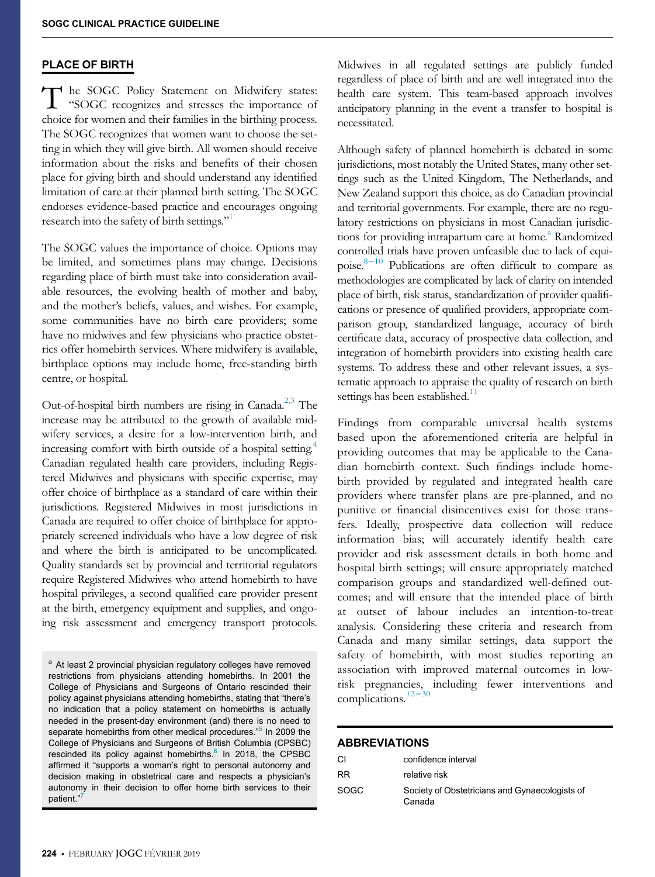### PLACE OF BIRTH

The SOGC Policy Statement on Midwifery states:<br>"SOGC recognizes and stresses the importance of choice for women and their families in the birthing process. The SOGC recognizes that women want to choose the setting in which they will give birth. All women should receive information about the risks and benefits of their chosen place for giving birth and should understand any identified limitation of care at their planned birth setting. The SOGC endorses evidence-based practice and encourages ongoing research into the safety of birth settings."<sup>[1](#page-3-0)</sup>

The SOGC values the importance of choice. Options may be limited, and sometimes plans may change. Decisions regarding place of birth must take into consideration available resources, the evolving health of mother and baby, and the mother's beliefs, values, and wishes. For example, some communities have no birth care providers; some have no midwives and few physicians who practice obstetrics offer homebirth services. Where midwifery is available, birthplace options may include home, free-standing birth centre, or hospital.

Out-of-hospital birth numbers are rising in Canada. $^{2,3}$  The increase may be attributed to the growth of available midwifery services, a desire for a low-intervention birth, and increasing comfort with birth outside of a hospital setting.<sup>[4](#page-3-2)</sup> Canadian regulated health care providers, including Registered Midwives and physicians with specific expertise, may offer choice of birthplace as a standard of care within their jurisdictions. Registered Midwives in most jurisdictions in Canada are required to offer choice of birthplace for appropriately screened individuals who have a low degree of risk and where the birth is anticipated to be uncomplicated. Quality standards set by provincial and territorial regulators require Registered Midwives who attend homebirth to have hospital privileges, a second qualified care provider present at the birth, emergency equipment and supplies, and ongoing risk assessment and emergency transport protocols.

Midwives in all regulated settings are publicly funded regardless of place of birth and are well integrated into the health care system. This team-based approach involves anticipatory planning in the event a transfer to hospital is necessitated.

Although safety of planned homebirth is debated in some jurisdictions, most notably the United States, many other settings such as the United Kingdom, The Netherlands, and New Zealand support this choice, as do Canadian provincial and territorial governments. For example, there are no regulatory restrictions on physicians in most Canadian jurisdictions for providing intrapartum care at home.<sup>a</sup> Randomized contr[olled](#page-3-3) trials have proven unfeasible due to lack of equipoise.8<sup>−</sup><sup>10</sup> Publications are often difficult to compare as methodologies are complicated by lack of clarity on intended place of birth, risk status, standardization of provider qualifications or presence of qualified providers, appropriate comparison group, standardized language, accuracy of birth certificate data, accuracy of prospective data collection, and integration of homebirth providers into existing health care systems. To address these and other relevant issues, a systematic approach to appraise the quality of research on birth settings has been established.<sup>11</sup>

Findings from comparable universal health systems based upon the aforementioned criteria are helpful in providing outcomes that may be applicable to the Canadian homebirth context. Such findings include homebirth provided by regulated and integrated health care providers where transfer plans are pre-planned, and no punitive or financial disincentives exist for those transfers. Ideally, prospective data collection will reduce information bias; will accurately identify health care provider and risk assessment details in both home and hospital birth settings; will ensure appropriately matched comparison groups and standardized well-defined outcomes; and will ensure that the intended place of birth at outset of labour includes an intention-to-treat analysis. Considering these criteria and research from Canada and many similar settings, data support the safety of homebirth, with most studies reporting an association with improved maternal outcomes in lowrisk pregnan[cies,](#page-3-5) including fewer interventions and complications.12−<sup>30</sup>

#### ABBREVIATIONS

| CI.         | confidence interval                                      |
|-------------|----------------------------------------------------------|
| <b>RR</b>   | relative risk                                            |
| <b>SOGC</b> | Society of Obstetricians and Gynaecologists of<br>Canada |

<span id="page-1-0"></span><sup>&</sup>lt;sup>a</sup> At least 2 provincial physician regulatory colleges have removed restrictions from physicians attending homebirths. In 2001 the College of Physicians and Surgeons of Ontario rescinded their policy against physicians attending homebirths, stating that "there's no indication that a policy statement on homebirths is actually needed in the present-day environment (and) there is no need to separate homebirths from other medical procedures."<sup>[5](#page-3-6)</sup> In 2009 the College of Physicians and Surgeons of British Columbia (CPSBC) rescinded its policy against homebirths. $6$  In 2018, the CPSBC affirmed it "supports a woman's right to personal autonomy and decision making in obstetrical care and respects a physician's autonomy in their decision to offer home birth services to their patient."<sup>[7](#page-3-8)</sup>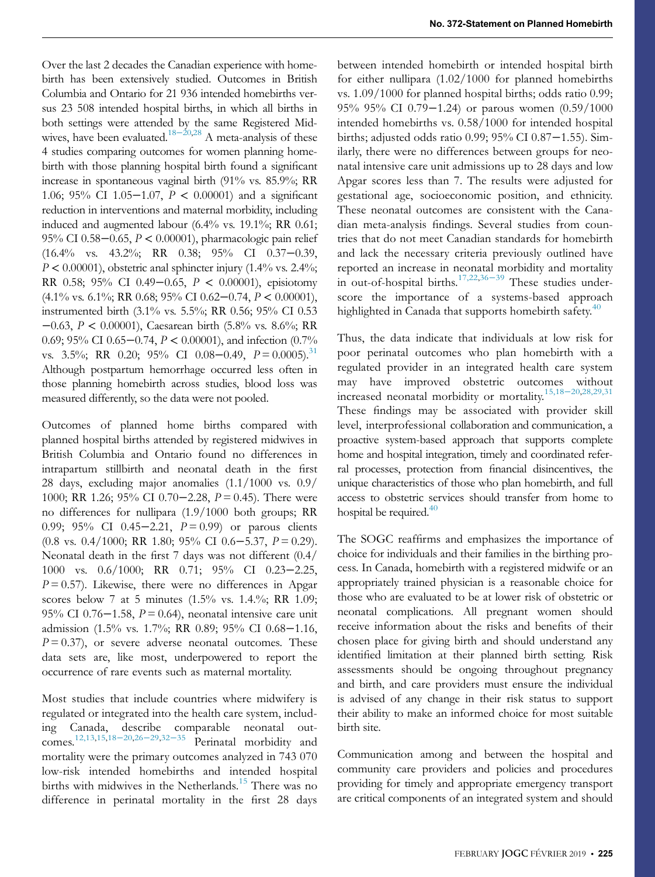Over the last 2 decades the Canadian experience with homebirth has been extensively studied. Outcomes in British Columbia and Ontario for 21 936 intended homebirths versus 23 508 intended hospital births, in which all births in both settings were attended by the same Registered Mid-wives, have been evaluated.<sup>[18](#page-3-9)−20[,28](#page-3-10)</sup> A meta-analysis of these 4 studies comparing outcomes for women planning homebirth with those planning hospital birth found a significant increase in spontaneous vaginal birth (91% vs. 85.9%; RR 1.06; 95% CI 1.05−1.07, P < 0.00001) and a significant reduction in interventions and maternal morbidity, including induced and augmented labour (6.4% vs. 19.1%; RR 0.61; 95% CI 0.58−0.65, P < 0.00001), pharmacologic pain relief (16.4% vs. 43.2%; RR 0.38; 95% CI 0.37−0.39,  $P < 0.00001$ ), obstetric anal sphincter injury (1.4% vs. 2.4%; RR 0.58; 95% CI 0.49−0.65, P < 0.00001), episiotomy (4.1% vs. 6.1%; RR 0.68; 95% CI 0.62−0.74, P < 0.00001), instrumented birth (3.1% vs. 5.5%; RR 0.56; 95% CI 0.53 −0.63, P < 0.00001), Caesarean birth (5.8% vs. 8.6%; RR 0.69; 95% CI 0.65−0.74, P < 0.00001), and infection (0.7% vs. 3.5%; RR 0.20; 95% CI 0.08–0.49,  $P = 0.0005$ .<sup>[31](#page-3-11)</sup> Although postpartum hemorrhage occurred less often in those planning homebirth across studies, blood loss was measured differently, so the data were not pooled.

Outcomes of planned home births compared with planned hospital births attended by registered midwives in British Columbia and Ontario found no differences in intrapartum stillbirth and neonatal death in the first 28 days, excluding major anomalies (1.1/1000 vs. 0.9/ 1000; RR 1.26; 95% CI 0.70−2.28, P = 0.45). There were no differences for nullipara (1.9/1000 both groups; RR 0.99; 95% CI 0.45−2.21, P = 0.99) or parous clients  $(0.8 \text{ vs. } 0.4/1000; \text{ RR } 1.80; 95\% \text{ CI } 0.6-5.37, P=0.29).$ Neonatal death in the first 7 days was not different (0.4/ 1000 vs. 0.6/1000; RR 0.71; 95% CI 0.23−2.25,  $P = 0.57$ ). Likewise, there were no differences in Apgar scores below 7 at 5 minutes (1.5% vs. 1.4.%; RR 1.09; 95% CI 0.76–1.58,  $P = 0.64$ ), neonatal intensive care unit admission (1.5% vs. 1.7%; RR 0.89; 95% CI 0.68−1.16,  $P = 0.37$ , or severe adverse neonatal outcomes. These data sets are, like most, underpowered to report the occurrence of rare events such as maternal mortality.

Most studies that include countries where midwifery is regulated or integrated into the health care system, including Canada[, de](#page-3-9)[scribe](#page-3-13) [co](#page-4-0)mparable neonatal out-comes.<sup>[12,13,](#page-3-5)[15](#page-3-12),18-20,26-29,32-35</sup> Perinatal morbidity and mortality were the primary outcomes analyzed in 743 070 low-risk intended homebirths and intended hospital births with midwives in the Netherlands.<sup>[15](#page-3-12)</sup> There was no difference in perinatal mortality in the first 28 days between intended homebirth or intended hospital birth for either nullipara (1.02/1000 for planned homebirths vs. 1.09/1000 for planned hospital births; odds ratio 0.99; 95% 95% CI 0.79−1.24) or parous women (0.59/1000 intended homebirths vs. 0.58/1000 for intended hospital births; adjusted odds ratio 0.99; 95% CI 0.87−1.55). Similarly, there were no differences between groups for neonatal intensive care unit admissions up to 28 days and low Apgar scores less than 7. The results were adjusted for gestational age, socioeconomic position, and ethnicity. These neonatal outcomes are consistent with the Canadian meta-analysis findings. Several studies from countries that do not meet Canadian standards for homebirth and lack the necessary criteria previously outlined have reported an increase in neon[atal m](#page-4-1)orbidity and mortality in out-of-hospital births.[17,22,](#page-3-14)36−<sup>39</sup> These studies underscore the importance of a systems-based approach highlighted in Canada that supports homebirth safety.<sup>[40](#page-4-2)</sup>

Thus, the data indicate that individuals at low risk for poor perinatal outcomes who plan homebirth with a regulated provider in an integrated health care system may have improved obstetric outcomes without increased neonatal morbidity or mortality.[15,18](#page-3-12)−20,[28,29,31](#page-3-10) These findings may be associated with provider skill level, interprofessional collaboration and communication, a proactive system-based approach that supports complete home and hospital integration, timely and coordinated referral processes, protection from financial disincentives, the unique characteristics of those who plan homebirth, and full access to obstetric services should transfer from home to hospital be required. $40$ 

The SOGC reaffirms and emphasizes the importance of choice for individuals and their families in the birthing process. In Canada, homebirth with a registered midwife or an appropriately trained physician is a reasonable choice for those who are evaluated to be at lower risk of obstetric or neonatal complications. All pregnant women should receive information about the risks and benefits of their chosen place for giving birth and should understand any identified limitation at their planned birth setting. Risk assessments should be ongoing throughout pregnancy and birth, and care providers must ensure the individual is advised of any change in their risk status to support their ability to make an informed choice for most suitable birth site.

Communication among and between the hospital and community care providers and policies and procedures providing for timely and appropriate emergency transport are critical components of an integrated system and should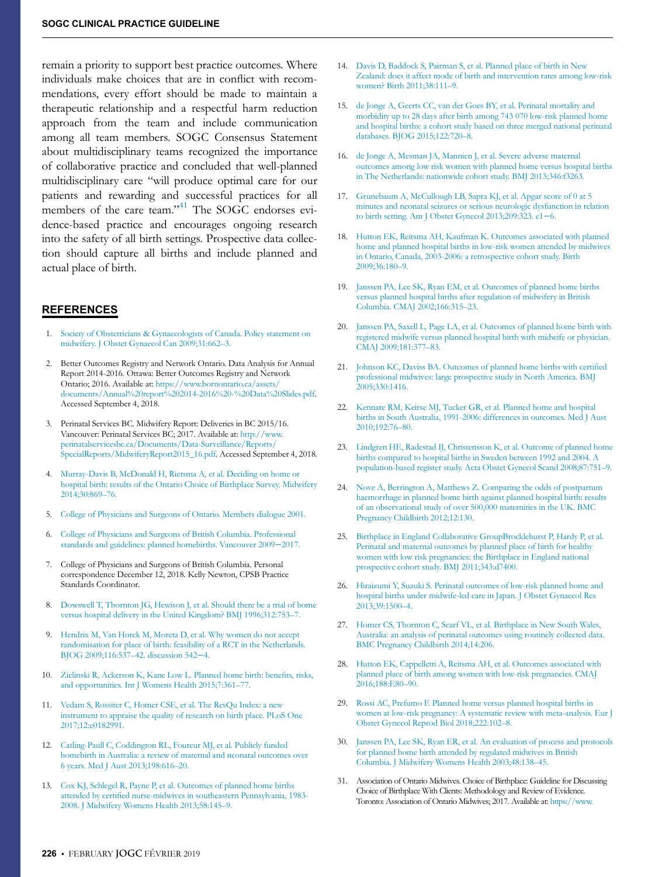<span id="page-3-12"></span>remain a priority to support best practice outcomes. Where individuals make choices that are in conflict with recommendations, every effort should be made to maintain a therapeutic relationship and a respectful harm reduction approach from the team and include communication among all team members. SOGC Consensus Statement about multidisciplinary teams recognized the importance of collaborative practice and concluded that well-planned multidisciplinary care "will produce optimal care for our patients and rewarding and successful practices for all members of the care team."<sup>[41](#page-4-3)</sup> The SOGC endorses evidence-based practice and encourages ongoing research into the safety of all birth settings. Prospective data collection should capture all births and include planned and actual place of birth.

# <span id="page-3-14"></span><span id="page-3-9"></span>**REFERENCES**

- <span id="page-3-0"></span>1. [Society of Obstetricians & Gynaecologists of Canada. Policy statement on](http://refhub.elsevier.com/S1701-2163(18)30648-0/sbref0001) [midwifery. J Obstet Gynaecol Can 2009;31:662](http://refhub.elsevier.com/S1701-2163(18)30648-0/sbref0001)–3.
- <span id="page-3-1"></span>2. Better Outcomes Registry and Network Ontario. Data Analysis for Annual Report 2014-2016. Ottawa: Better Outcomes Registry and Network Ontario; 2016. Available at: [https://www.bornontario.ca/assets/](https://www.bornontario.ca/assets/documents/Annual%20report%202014-2016%20-%20Data%20Slides.pdf) [documents/Annual%20report%202014-2016%20-](https://www.bornontario.ca/assets/documents/Annual%20report%202014-2016%20-%20Data%20Slides.pdf)%[20Data%20Slides.pdf](https://www.bornontario.ca/assets/documents/Annual%20report%202014-2016%20-%20Data%20Slides.pdf). Accessed September 4, 2018.
- 3. Perinatal Services BC. Midwifery Report: Deliveries in BC 2015/16. Vancouver: Perinatal Services BC; 2017. Available at: [http://www.](http://www.perinatalservicesbc.ca/Documents/Data-Surveillance/Reports/SpecialReports/MidwiferyReport2015_16.pdf) [perinatalservicesbc.ca/Documents/Data-Surveillance/Reports/](http://www.perinatalservicesbc.ca/Documents/Data-Surveillance/Reports/SpecialReports/MidwiferyReport2015_16.pdf) [SpecialReports/MidwiferyReport2015\\_16.pdf.](http://www.perinatalservicesbc.ca/Documents/Data-Surveillance/Reports/SpecialReports/MidwiferyReport2015_16.pdf) Accessed September 4, 2018.
- <span id="page-3-2"></span>4. [Murray-Davis B, McDonald H, Rietsma A, et al. Deciding on home or](http://refhub.elsevier.com/S1701-2163(18)30648-0/sbref0004) [hospital birth: results of the Ontario Choice of Birthplace Survey. Midwifery](http://refhub.elsevier.com/S1701-2163(18)30648-0/sbref0004) [2014;30:869](http://refhub.elsevier.com/S1701-2163(18)30648-0/sbref0004)–76.
- <span id="page-3-6"></span>5. [College of Physicians and Surgeons of Ontario. Members dialogue 2001.](http://refhub.elsevier.com/S1701-2163(18)30648-0/sbref0005)
- <span id="page-3-7"></span>6. [College of Physicians and Surgeons of British Columbia. Professional](http://refhub.elsevier.com/S1701-2163(18)30648-0/sbref0006) [standards and guidelines: planned homebirths. Vancouver 2009](http://refhub.elsevier.com/S1701-2163(18)30648-0/sbref0006)−2017.
- <span id="page-3-13"></span><span id="page-3-8"></span>7. College of Physicians and Surgeons of British Columbia. Personal correspondence December 12, 2018. Kelly Newton, CPSB Practice Standards Coordinator.
- <span id="page-3-3"></span>8. [Dowswell T, Thornton JG, Hewison J, et al. Should there be a trial of home](http://refhub.elsevier.com/S1701-2163(18)30648-0/sbref0008) [versus hospital delivery in the United Kingdom? BMJ 1996;312:753](http://refhub.elsevier.com/S1701-2163(18)30648-0/sbref0008)–7.
- 9. [Hendrix M, Van Horck M, Moreta D, et al. Why women do not accept](http://refhub.elsevier.com/S1701-2163(18)30648-0/sbref0009) [randomisation for place of birth: feasibility of a RCT in the Netherlands.](http://refhub.elsevier.com/S1701-2163(18)30648-0/sbref0009) [BJOG 2009;116:537](http://refhub.elsevier.com/S1701-2163(18)30648-0/sbref0009)–42. discussion 542−4.
- <span id="page-3-10"></span>10. [Zielinski R, Ackerson K, Kane Low L. Planned home birth: bene](http://refhub.elsevier.com/S1701-2163(18)30648-0/sbref0010)fits, risks, [and opportunities. Int J Womens Health 2015;7:361](http://refhub.elsevier.com/S1701-2163(18)30648-0/sbref0010)–77.
- <span id="page-3-4"></span>11. [Vedam S, Rossiter C, Homer CSE, et al. The ResQu Index: a new](http://refhub.elsevier.com/S1701-2163(18)30648-0/sbref0011) [instrument to appraise the quality of research on birth place. PLoS One](http://refhub.elsevier.com/S1701-2163(18)30648-0/sbref0011) [2017;12:e0182991.](http://refhub.elsevier.com/S1701-2163(18)30648-0/sbref0011)
- <span id="page-3-5"></span>12. [Catling-Paull C, Coddington RL, Foureur MJ, et al. Publicly funded](http://refhub.elsevier.com/S1701-2163(18)30648-0/sbref0012) [homebirth in Australia: a review of maternal and neonatal outcomes over](http://refhub.elsevier.com/S1701-2163(18)30648-0/sbref0012) [6 years. Med J Aust 2013;198:616](http://refhub.elsevier.com/S1701-2163(18)30648-0/sbref0012)–20.
- <span id="page-3-11"></span>13. [Cox KJ, Schlegel R, Payne P, et al. Outcomes of planned home births](http://refhub.elsevier.com/S1701-2163(18)30648-0/sbref0013) attended by certifi[ed nurse-midwives in southeastern Pennsylvania, 1983-](http://refhub.elsevier.com/S1701-2163(18)30648-0/sbref0013) [2008. J Midwifery Womens Health 2013;58:145](http://refhub.elsevier.com/S1701-2163(18)30648-0/sbref0013)–9.
- 14. [Davis D, Baddock S, Pairman S, et al. Planned place of birth in New](http://refhub.elsevier.com/S1701-2163(18)30648-0/sbref0014) [Zealand: does it affect mode of birth and intervention rates among low-risk](http://refhub.elsevier.com/S1701-2163(18)30648-0/sbref0014) [women? Birth 2011;38:111](http://refhub.elsevier.com/S1701-2163(18)30648-0/sbref0014)–9.
- 15. [de Jonge A, Geerts CC, van der Goes BY, et al. Perinatal mortality and](http://refhub.elsevier.com/S1701-2163(18)30648-0/sbref0015) [morbidity up to 28 days after birth among 743 070 low-risk planned home](http://refhub.elsevier.com/S1701-2163(18)30648-0/sbref0015) [and hospital births: a cohort study based on three merged national perinatal](http://refhub.elsevier.com/S1701-2163(18)30648-0/sbref0015) [databases. BJOG 2015;122:720](http://refhub.elsevier.com/S1701-2163(18)30648-0/sbref0015)–8.
- 16. [de Jonge A, Mesman JA, Mannien J, et al. Severe adverse maternal](http://refhub.elsevier.com/S1701-2163(18)30648-0/sbref0016) [outcomes among low risk women with planned home versus hospital births](http://refhub.elsevier.com/S1701-2163(18)30648-0/sbref0016) [in The Netherlands: nationwide cohort study. BMJ 2013;346:f3263.](http://refhub.elsevier.com/S1701-2163(18)30648-0/sbref0016)
- 17. [Grunebaum A, McCullough LB, Sapra KJ, et al. Apgar score of 0 at 5](http://refhub.elsevier.com/S1701-2163(18)30648-0/sbref0017) [minutes and neonatal seizures or serious neurologic dysfunction in relation](http://refhub.elsevier.com/S1701-2163(18)30648-0/sbref0017) [to birth setting. Am J Obstet Gynecol 2013;209:323. e1](http://refhub.elsevier.com/S1701-2163(18)30648-0/sbref0017)−6.
- 18. [Hutton EK, Reitsma AH, Kaufman K. Outcomes associated with planned](http://refhub.elsevier.com/S1701-2163(18)30648-0/sbref0018) [home and planned hospital births in low-risk women attended by midwives](http://refhub.elsevier.com/S1701-2163(18)30648-0/sbref0018) [in Ontario, Canada, 2003-2006: a retrospective cohort study. Birth](http://refhub.elsevier.com/S1701-2163(18)30648-0/sbref0018) [2009;36:180](http://refhub.elsevier.com/S1701-2163(18)30648-0/sbref0018)–9.
- 19. [Janssen PA, Lee SK, Ryan EM, et al. Outcomes of planned home births](http://refhub.elsevier.com/S1701-2163(18)30648-0/sbref0019) [versus planned hospital births after regulation of midwifery in British](http://refhub.elsevier.com/S1701-2163(18)30648-0/sbref0019) [Columbia. CMAJ 2002;166:315](http://refhub.elsevier.com/S1701-2163(18)30648-0/sbref0019)–23.
- 20. [Janssen PA, Saxell L, Page LA, et al. Outcomes of planned home birth with](http://refhub.elsevier.com/S1701-2163(18)30648-0/sbref0020) [registered midwife versus planned hospital birth with midwife or physician.](http://refhub.elsevier.com/S1701-2163(18)30648-0/sbref0020) [CMAJ 2009;181:377](http://refhub.elsevier.com/S1701-2163(18)30648-0/sbref0020)–83.
- 21. [Johnson KC, Daviss BA. Outcomes of planned home births with certi](http://refhub.elsevier.com/S1701-2163(18)30648-0/sbref0021)fied [professional midwives: large prospective study in North America. BMJ](http://refhub.elsevier.com/S1701-2163(18)30648-0/sbref0021) [2005;330:1416.](http://refhub.elsevier.com/S1701-2163(18)30648-0/sbref0021)
- 22. [Kennare RM, Keirse MJ, Tucker GR, et al. Planned home and hospital](http://refhub.elsevier.com/S1701-2163(18)30648-0/sbref0022) [births in South Australia, 1991-2006: differences in outcomes. Med J Aust](http://refhub.elsevier.com/S1701-2163(18)30648-0/sbref0022) [2010;192:76](http://refhub.elsevier.com/S1701-2163(18)30648-0/sbref0022)–80.
- 23. [Lindgren HE, Radestad IJ, Christensson K, et al. Outcome of planned home](http://refhub.elsevier.com/S1701-2163(18)30648-0/sbref0023) [births compared to hospital births in Sweden between 1992 and 2004. A](http://refhub.elsevier.com/S1701-2163(18)30648-0/sbref0023) [population-based register study. Acta Obstet Gynecol Scand 2008;87:751](http://refhub.elsevier.com/S1701-2163(18)30648-0/sbref0023)–9.
- 24. [Nove A, Berrington A, Matthews Z. Comparing the odds of postpartum](http://refhub.elsevier.com/S1701-2163(18)30648-0/sbref0024) [haemorrhage in planned home birth against planned hospital birth: results](http://refhub.elsevier.com/S1701-2163(18)30648-0/sbref0024) [of an observational study of over 500,000 maternities in the UK. BMC](http://refhub.elsevier.com/S1701-2163(18)30648-0/sbref0024) [Pregnancy Childbirth 2012;12:130.](http://refhub.elsevier.com/S1701-2163(18)30648-0/sbref0024)
- 25. [Birthplace in England Collaborative GroupBrocklehurst P, Hardy P, et al.](http://refhub.elsevier.com/S1701-2163(18)30648-0/sbref0025) [Perinatal and maternal outcomes by planned place of birth for healthy](http://refhub.elsevier.com/S1701-2163(18)30648-0/sbref0025) [women with low risk pregnancies: the Birthplace in England national](http://refhub.elsevier.com/S1701-2163(18)30648-0/sbref0025) [prospective cohort study. BMJ 2011;343:d7400.](http://refhub.elsevier.com/S1701-2163(18)30648-0/sbref0025)
- 26. [Hiraizumi Y, Suzuki S. Perinatal outcomes of low-risk planned home and](http://refhub.elsevier.com/S1701-2163(18)30648-0/sbref0026) [hospital births under midwife-led care in Japan. J Obstet Gynaecol Res](http://refhub.elsevier.com/S1701-2163(18)30648-0/sbref0026) [2013;39:1500](http://refhub.elsevier.com/S1701-2163(18)30648-0/sbref0026)–4.
- 27. [Homer CS, Thornton C, Scarf VL, et al. Birthplace in New South Wales,](http://refhub.elsevier.com/S1701-2163(18)30648-0/sbref0027) [Australia: an analysis of perinatal outcomes using routinely collected data.](http://refhub.elsevier.com/S1701-2163(18)30648-0/sbref0027) [BMC Pregnancy Childbirth 2014;14:206.](http://refhub.elsevier.com/S1701-2163(18)30648-0/sbref0027)
- 28. [Hutton EK, Cappelletti A, Reitsma AH, et al. Outcomes associated with](http://refhub.elsevier.com/S1701-2163(18)30648-0/sbref0028) [planned place of birth among women with low-risk pregnancies. CMAJ](http://refhub.elsevier.com/S1701-2163(18)30648-0/sbref0028) [2016;188:E80](http://refhub.elsevier.com/S1701-2163(18)30648-0/sbref0028)–90.
- 29. [Rossi AC, Prefumo F. Planned home versus planned hospital births in](http://refhub.elsevier.com/S1701-2163(18)30648-0/sbref0029) [women at low-risk pregnancy: A systematic review with meta-analysis. Eur J](http://refhub.elsevier.com/S1701-2163(18)30648-0/sbref0029) [Obstet Gynecol Reprod Biol 2018;222:102](http://refhub.elsevier.com/S1701-2163(18)30648-0/sbref0029)–8.
- 30. [Janssen PA, Lee SK, Ryan ER, et al. An evaluation of process and protocols](http://refhub.elsevier.com/S1701-2163(18)30648-0/sbref0030) [for planned home birth attended by regulated midwives in British](http://refhub.elsevier.com/S1701-2163(18)30648-0/sbref0030) [Columbia. J Midwifery Womens Health 2003;48:138](http://refhub.elsevier.com/S1701-2163(18)30648-0/sbref0030)–45.
- 31. Association of Ontario Midwives. Choice of Birthplace: Guideline for Discussing Choice of Birthplace With Clients: Methodology and Review of Evidence. Toronto: Association of Ontario Midwives; 2017. Available at: [https://www.](https://www.ontariomidwives.ca/sites/default/files/Choice%20of%20birthplace%20guideline-Method%20and%20Evidence%20Supplementary.pdf)